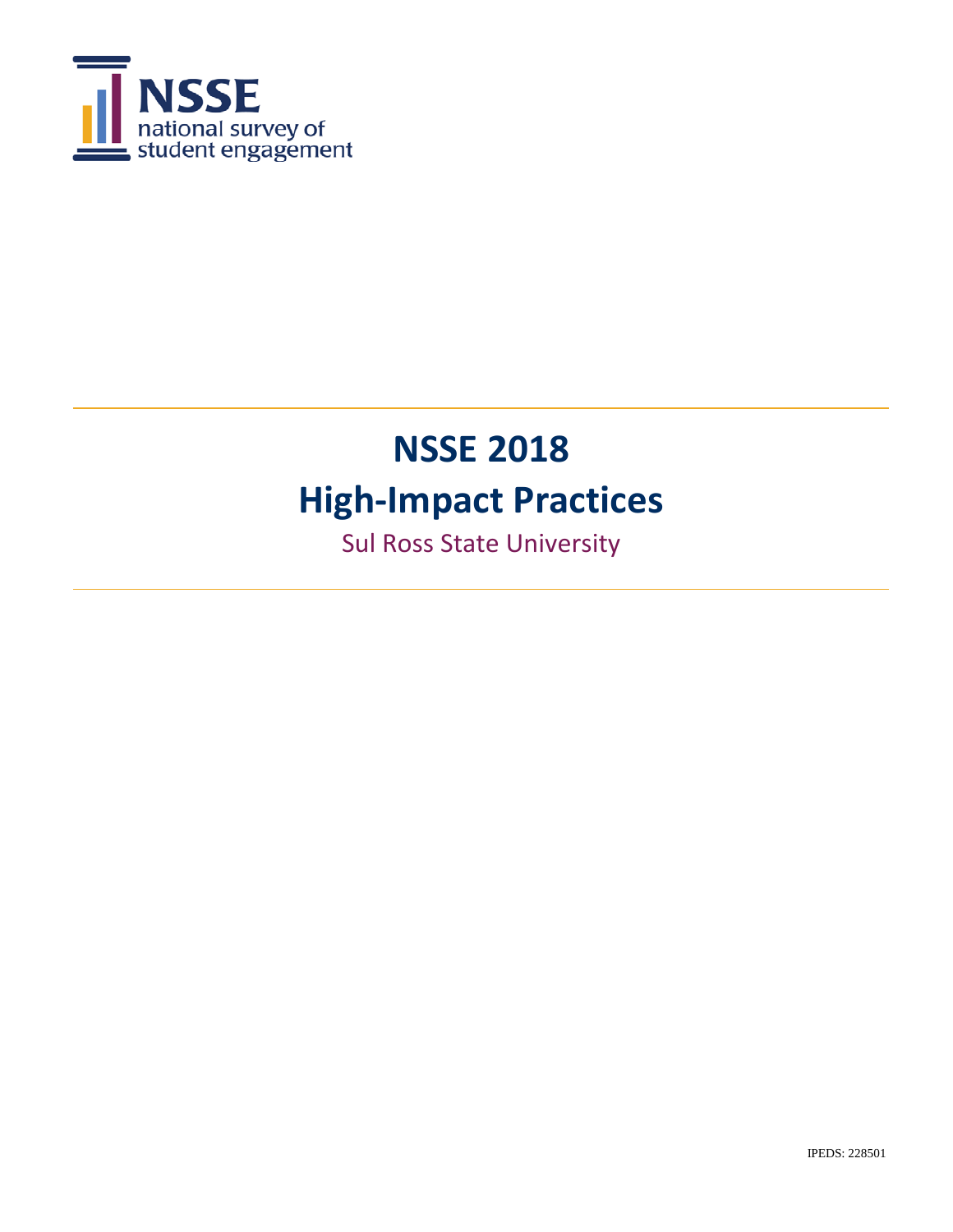

Sul Ross State University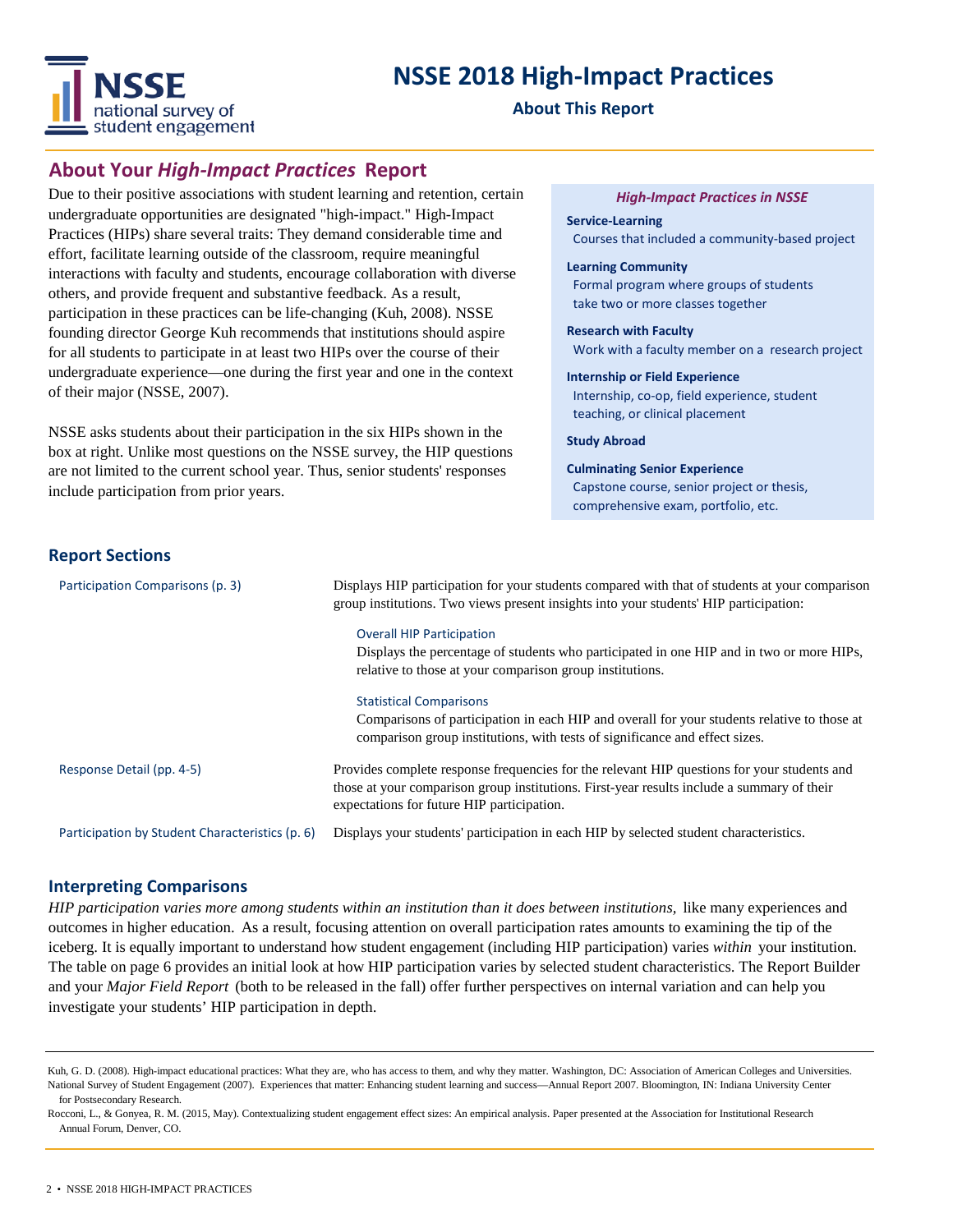

### **About This Report**

### **About Your** *High-Impact Practices* **Report**

Due to their positive associations with student learning and retention, certain undergraduate opportunities are designated "high-impact." High-Impact Practices (HIPs) share several traits: They demand considerable time and effort, facilitate learning outside of the classroom, require meaningful interactions with faculty and students, encourage collaboration with diverse others, and provide frequent and substantive feedback. As a result, participation in these practices can be life-changing (Kuh, 2008). NSSE founding director George Kuh recommends that institutions should aspire for all students to participate in at least two HIPs over the course of their undergraduate experience—one during the first year and one in the context of their major (NSSE, 2007).

NSSE asks students about their participation in the six HIPs shown in the box at right. Unlike most questions on the NSSE survey, the HIP questions are not limited to the current school year. Thus, senior students' responses include participation from prior years.

#### *High-Impact Practices in NSSE*

**Service-Learning**  Courses that included a community-based project

#### **Learning Community**

 Formal program where groups of students take two or more classes together

**Research with Faculty** Work with a faculty member on a research project

**Internship or Field Experience** Internship, co-op, field experience, student teaching, or clinical placement

#### **Study Abroad**

**Culminating Senior Experience** Capstone course, senior project or thesis, comprehensive exam, portfolio, etc.

### **Report Sections**

| Participation Comparisons (p. 3)                | Displays HIP participation for your students compared with that of students at your comparison<br>group institutions. Two views present insights into your students' HIP participation:                                                 |  |  |  |  |
|-------------------------------------------------|-----------------------------------------------------------------------------------------------------------------------------------------------------------------------------------------------------------------------------------------|--|--|--|--|
|                                                 | <b>Overall HIP Participation</b><br>Displays the percentage of students who participated in one HIP and in two or more HIPs,<br>relative to those at your comparison group institutions.                                                |  |  |  |  |
|                                                 | <b>Statistical Comparisons</b><br>Comparisons of participation in each HIP and overall for your students relative to those at<br>comparison group institutions, with tests of significance and effect sizes.                            |  |  |  |  |
| Response Detail (pp. 4-5)                       | Provides complete response frequencies for the relevant HIP questions for your students and<br>those at your comparison group institutions. First-year results include a summary of their<br>expectations for future HIP participation. |  |  |  |  |
| Participation by Student Characteristics (p. 6) | Displays your students' participation in each HIP by selected student characteristics.                                                                                                                                                  |  |  |  |  |

### **Interpreting Comparisons**

*HIP participation varies more among students within an institution than it does between institutions,* like many experiences and outcomes in higher education. As a result, focusing attention on overall participation rates amounts to examining the tip of the iceberg. It is equally important to understand how student engagement (including HIP participation) varies *within* your institution. The table on page 6 provides an initial look at how HIP participation varies by selected student characteristics. The Report Builder and your *Major Field Report* (both to be released in the fall) offer further perspectives on internal variation and can help you investigate your students' HIP participation in depth.

Kuh, G. D. (2008). High-impact educational practices: What they are, who has access to them, and why they matter. Washington, DC: Association of American Colleges and Universities. National Survey of Student Engagement (2007). Experiences that matter: Enhancing student learning and success—Annual Report 2007. Bloomington, IN: Indiana University Center for Postsecondary Research.

Rocconi, L., & Gonyea, R. M. (2015, May). Contextualizing student engagement effect sizes: An empirical analysis. Paper presented at the Association for Institutional Research Annual Forum, Denver, CO.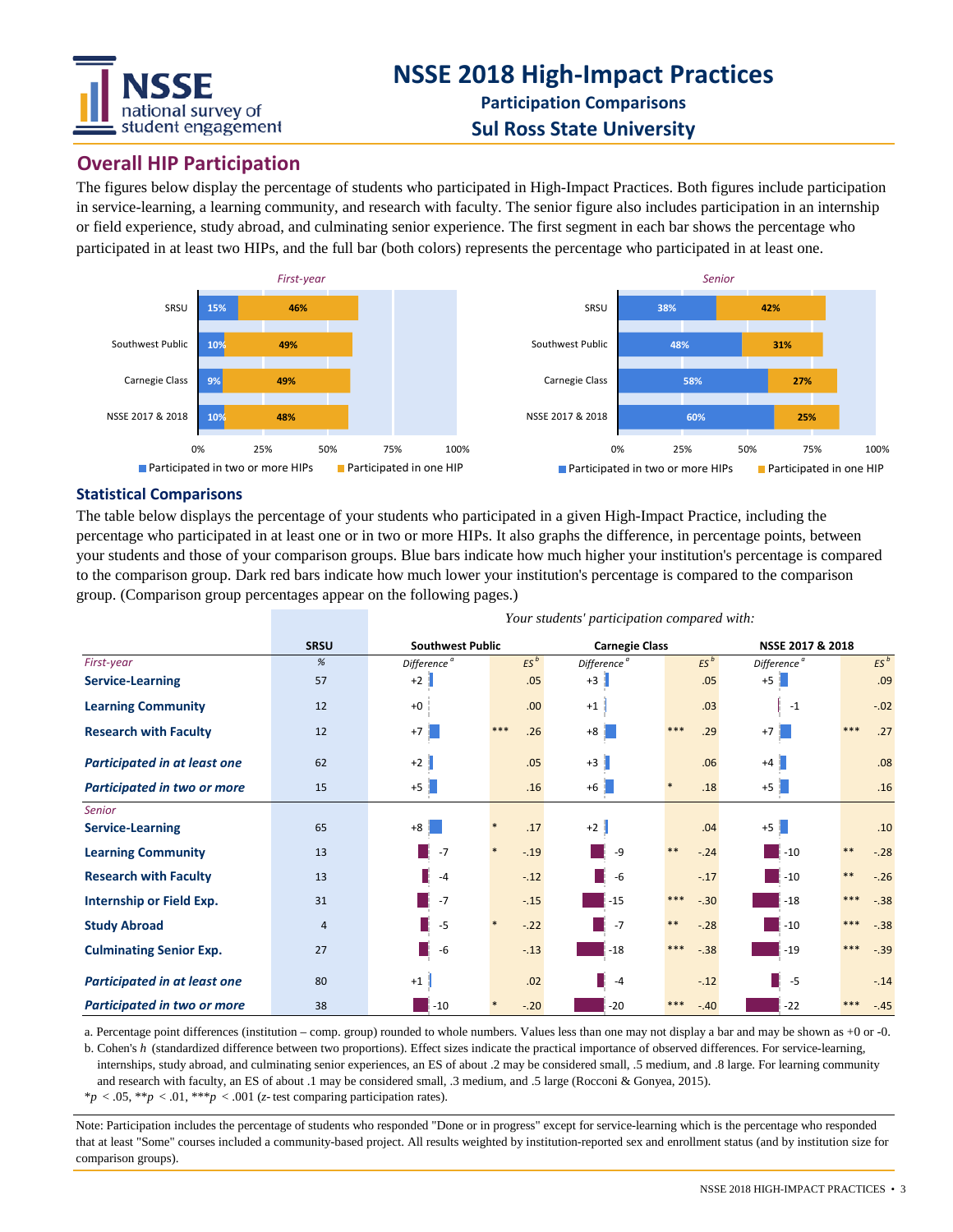

**Participation Comparisons Sul Ross State University**

# **Overall HIP Participation**

The figures below display the percentage of students who participated in High-Impact Practices. Both figures include participation in service-learning, a learning community, and research with faculty. The senior figure also includes participation in an internship or field experience, study abroad, and culminating senior experience. The first segment in each bar shows the percentage who participated in at least two HIPs, and the full bar (both colors) represents the percentage who participated in at least one.



### **Statistical Comparisons**

The table below displays the percentage of your students who participated in a given High-Impact Practice, including the percentage who participated in at least one or in two or more HIPs. It also graphs the difference, in percentage points, between your students and those of your comparison groups. Blue bars indicate how much higher your institution's percentage is compared to the comparison group. Dark red bars indicate how much lower your institution's percentage is compared to the comparison group. (Comparison group percentages appear on the following pages.)

|                                     |                | Your students' participation compared with: |              |                         |                 |                         |       |        |  |
|-------------------------------------|----------------|---------------------------------------------|--------------|-------------------------|-----------------|-------------------------|-------|--------|--|
|                                     | <b>SRSU</b>    | <b>Southwest Public</b>                     |              | <b>Carnegie Class</b>   |                 | NSSE 2017 & 2018        |       |        |  |
| First-year                          | %              | Difference <sup>a</sup>                     | $ES^b$       | Difference <sup>a</sup> | $ES^b$          | Difference <sup>a</sup> |       | $ES^b$ |  |
| <b>Service-Learning</b>             | 57             | $+2$                                        | .05          | $+3$                    | .05             | $+5$                    |       | .09    |  |
| <b>Learning Community</b>           | 12             | $+0$                                        | .00          | $+1$                    | .03             | $-1$                    |       | $-.02$ |  |
| <b>Research with Faculty</b>        | 12             | $+7$                                        | $***$<br>.26 | $+8$                    | $***$<br>.29    | $+7$                    | $***$ | .27    |  |
| <b>Participated in at least one</b> | 62             | $+2$                                        | .05          | $+3$                    | .06             | $+4$                    |       | .08    |  |
| <b>Participated in two or more</b>  | 15             | $+5$                                        | .16          | $+6$                    | .18             | $+5$                    |       | .16    |  |
| <b>Senior</b>                       |                |                                             |              |                         |                 |                         |       |        |  |
| <b>Service-Learning</b>             | 65             | $+8$                                        | .17          | $+2$                    | .04             | $+5$                    |       | .10    |  |
| <b>Learning Community</b>           | 13             | $-7$                                        | $-.19$       | $-9$                    | $***$<br>$-24$  | $-10$                   | $***$ | $-.28$ |  |
| <b>Research with Faculty</b>        | 13             | $-4$                                        | $-.12$       | $-6$                    | $-.17$          | $-10$                   | $***$ | $-.26$ |  |
| Internship or Field Exp.            | 31             | $-7$                                        | $-0.15$      | $-15$                   | ***<br>$-.30$   | $-18$                   | ***   | $-.38$ |  |
| <b>Study Abroad</b>                 | $\overline{4}$ | $-5$                                        | $-.22$       | $-7$                    | $***$<br>$-.28$ | $-10$                   | ***   | $-.38$ |  |
| <b>Culminating Senior Exp.</b>      | 27             | $-6$                                        | $-.13$       | $-18$                   | $***$<br>$-38$  | $-19$                   | ***   | $-.39$ |  |
| <b>Participated in at least one</b> | 80             | $+1$                                        | .02          | $-4$                    | $-.12$          | $-5$                    |       | $-.14$ |  |
| Participated in two or more         | 38             | $-10$                                       | $-.20$       | $-20$                   | ***<br>$-.40$   | $-22$                   | ***   | $-45$  |  |

a. Percentage point differences (institution – comp. group) rounded to whole numbers. Values less than one may not display a bar and may be shown as +0 or -0.

b. Cohen's *h* (standardized difference between two proportions). Effect sizes indicate the practical importance of observed differences. For service-learning, internships, study abroad, and culminating senior experiences, an ES of about .2 may be considered small, .5 medium, and .8 large. For learning community

and research with faculty, an ES of about .1 may be considered small, .3 medium, and .5 large (Rocconi & Gonyea, 2015).

 $*p < .05, **p < .01, ***p < .001$  (*z*-test comparing participation rates).

Note: Participation includes the percentage of students who responded "Done or in progress" except for service-learning which is the percentage who responded that at least "Some" courses included a community-based project. All results weighted by institution-reported sex and enrollment status (and by institution size for comparison groups).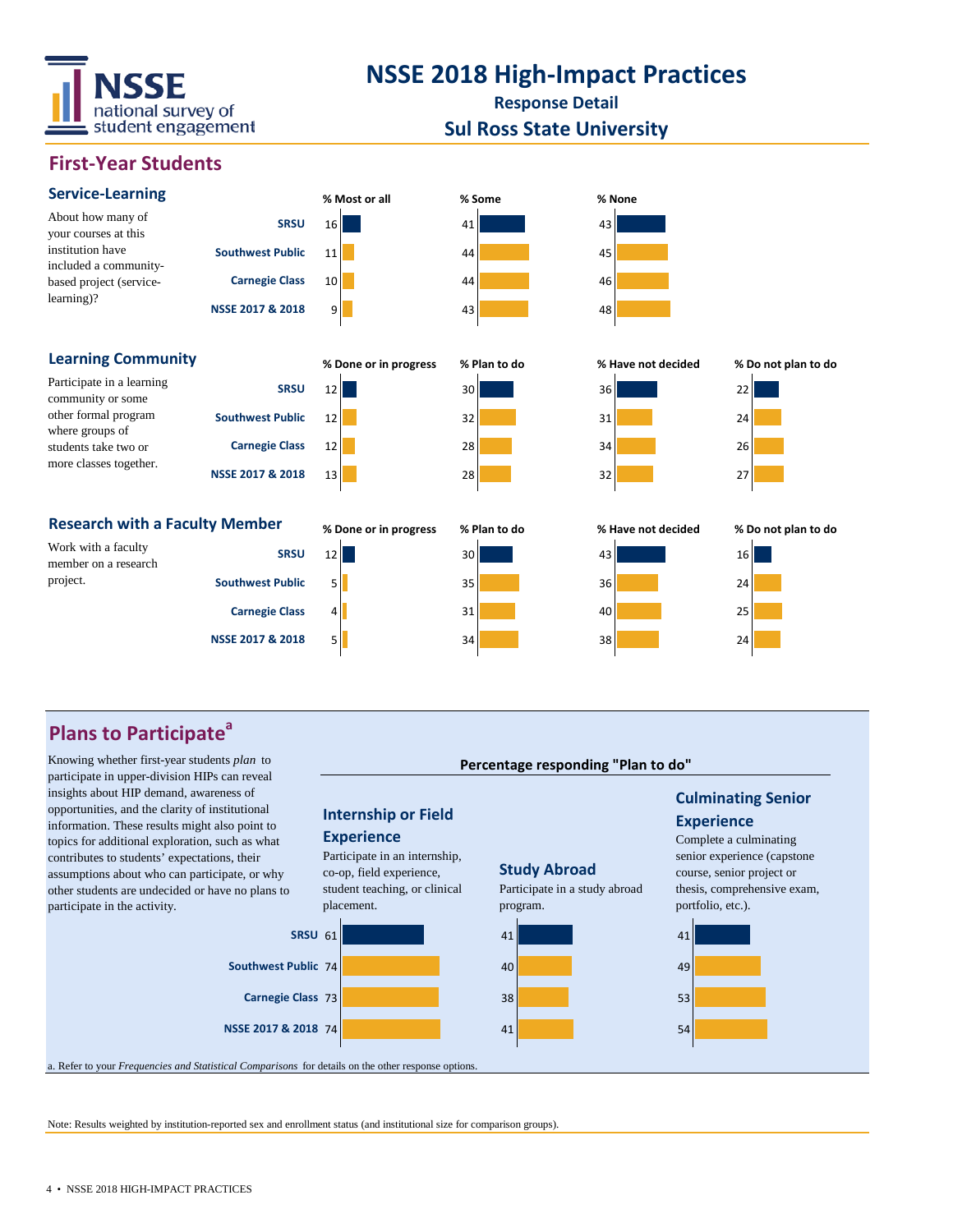

**Response Detail**

### **Sul Ross State University**

# **First-Year Students**



# **Plans to Participate<sup>a</sup>**

**Percentage responding "Plan to do" Percentage responding "Plan to do"** participate in upper-division HIPs can reveal insights about HIP demand, awareness of opportunities, and the clarity of institutional information. These results might also point to topics for additional exploration, such as what contributes to students' expectations, their assumptions about who can participate, or why other students are undecided or have no plans to participate in the activity.



**Culminating Senior** 

74 41 54

#### a. Refer to your *Frequencies and Statistical Comparisons* for details on the other response options.

**NSSE 2017 & 2018**

Note: Results weighted by institution-reported sex and enrollment status (and institutional size for comparison groups).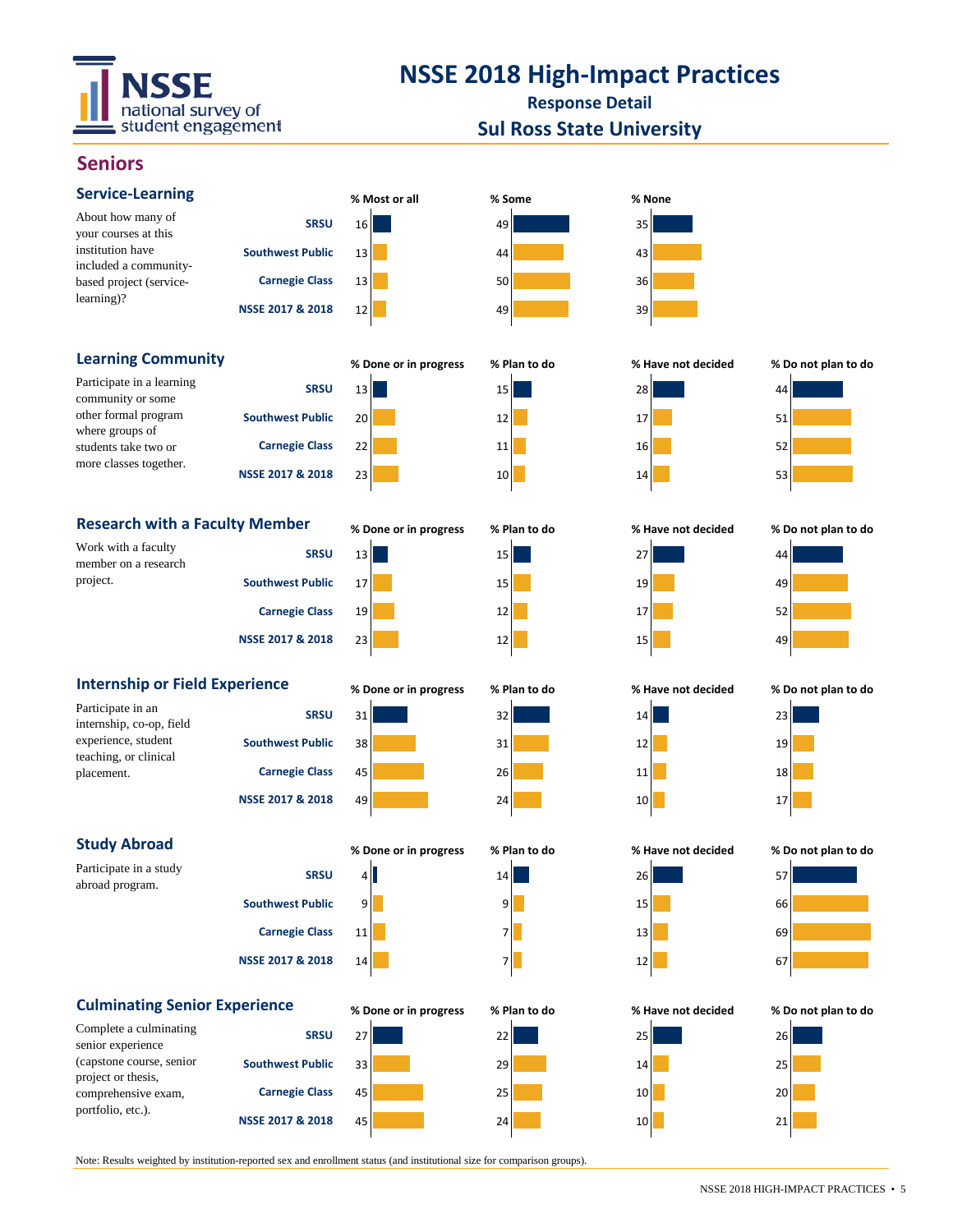

**Response Detail Sul Ross State University**

# **Seniors**

| <b>Service-Learning</b>                                                            |                         | % Most or all         | % Some       | % None             |                     |
|------------------------------------------------------------------------------------|-------------------------|-----------------------|--------------|--------------------|---------------------|
| About how many of<br>your courses at this                                          | <b>SRSU</b>             | 16                    | 49           | 35                 |                     |
| institution have<br>included a community-<br>based project (service-<br>learning)? | <b>Southwest Public</b> | 13                    | 44           | 43                 |                     |
|                                                                                    | <b>Carnegie Class</b>   | 13                    | 50           | 36                 |                     |
|                                                                                    | NSSE 2017 & 2018        | 12                    | 49           | 39                 |                     |
| <b>Learning Community</b>                                                          |                         | % Done or in progress | % Plan to do | % Have not decided | % Do not plan to do |
| Participate in a learning<br>community or some                                     | <b>SRSU</b>             | 13                    | 15           | 28                 | 44                  |
| other formal program                                                               | <b>Southwest Public</b> | 20                    | 12           | 17                 | 51                  |
| where groups of<br>students take two or                                            | <b>Carnegie Class</b>   | 22                    | 11           | 16                 | 52                  |
| more classes together.                                                             | NSSE 2017 & 2018        | 23                    | 10           | 14                 | 53                  |
| <b>Research with a Faculty Member</b>                                              |                         | % Done or in progress | % Plan to do | % Have not decided | % Do not plan to do |
| Work with a faculty<br>member on a research                                        | <b>SRSU</b>             | 13                    | 15           | 27                 | 44                  |
| project.                                                                           | <b>Southwest Public</b> | 17                    | 15           | 19                 | 49                  |
|                                                                                    | <b>Carnegie Class</b>   | 19                    | 12           | 17                 | 52                  |
|                                                                                    | NSSE 2017 & 2018        | 23                    | 12           | 15                 | 49                  |
| <b>Internship or Field Experience</b>                                              |                         | % Done or in progress | % Plan to do | % Have not decided | % Do not plan to do |
| Participate in an<br>internship, co-op, field                                      | <b>SRSU</b>             | 31                    | 32           | 14                 | 23                  |
| experience, student                                                                | <b>Southwest Public</b> | 38                    | 31           | 12                 | 19                  |
| teaching, or clinical<br>placement.                                                | <b>Carnegie Class</b>   | 45                    | 26           | 11                 | 18                  |
|                                                                                    | NSSE 2017 & 2018        | 49                    | 24           | 10                 | 17                  |
| <b>Study Abroad</b>                                                                |                         | % Done or in progress | % Plan to do | % Have not decided | % Do not plan to do |
| Participate in a study<br>abroad program.                                          | <b>SRSU</b>             | 4 <sup>1</sup>        | 14           | 26                 | 57                  |
|                                                                                    | <b>Southwest Public</b> | 9                     | 9            | 15                 | 66                  |
|                                                                                    | <b>Carnegie Class</b>   | 11                    | 7            | 13                 | 69                  |
|                                                                                    | NSSE 2017 & 2018        | 14                    | 7            | 12                 | 67                  |
| <b>Culminating Senior Experience</b>                                               |                         | % Done or in progress | % Plan to do | % Have not decided | % Do not plan to do |
| Complete a culminating<br>senior experience                                        | <b>SRSU</b>             | 27                    | 22           | 25                 | 26                  |
| (capstone course, senior<br>project or thesis,<br>comprehensive exam,              | <b>Southwest Public</b> | 33                    | 29           | 14                 | 25                  |
|                                                                                    | <b>Carnegie Class</b>   | 45                    | 25           | 10                 | 20                  |
| portfolio, etc.).                                                                  | NSSE 2017 & 2018        | 45                    | 24           | 10                 | 21                  |

Note: Results weighted by institution-reported sex and enrollment status (and institutional size for comparison groups).



NSSE 2018 HIGH-IMPACT PRACTICES • 5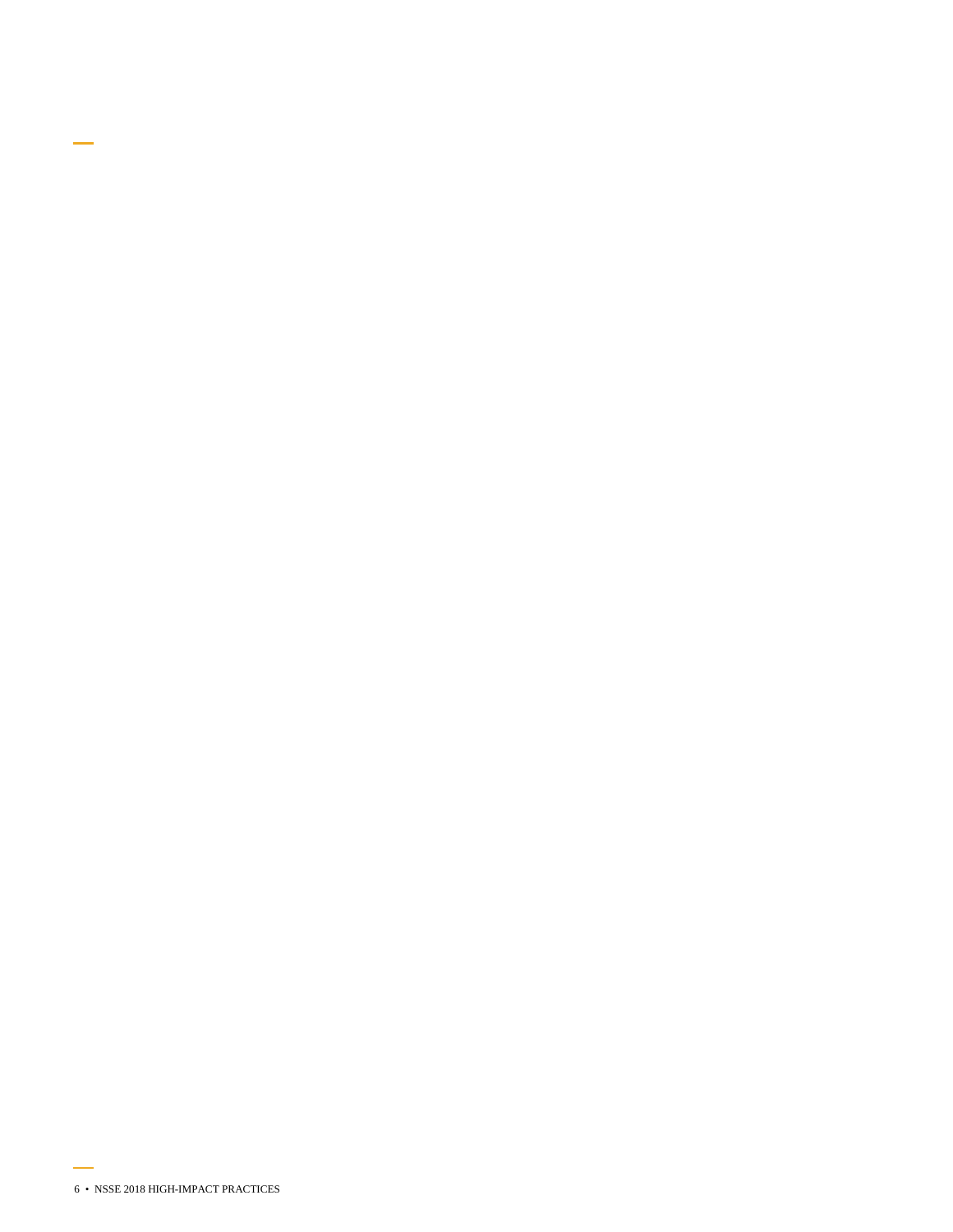6 • NSSE 2018 HIGH-IMPACT PRACTICES